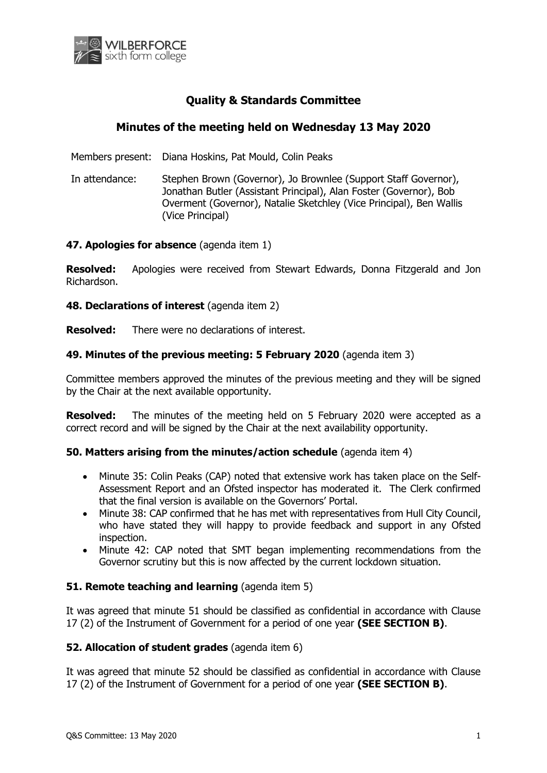

# **Quality & Standards Committee**

## **Minutes of the meeting held on Wednesday 13 May 2020**

Members present: Diana Hoskins, Pat Mould, Colin Peaks

In attendance: Stephen Brown (Governor), Jo Brownlee (Support Staff Governor), Jonathan Butler (Assistant Principal), Alan Foster (Governor), Bob Overment (Governor), Natalie Sketchley (Vice Principal), Ben Wallis (Vice Principal)

### **47. Apologies for absence** (agenda item 1)

**Resolved:** Apologies were received from Stewart Edwards, Donna Fitzgerald and Jon Richardson.

**48. Declarations of interest** (agenda item 2)

**Resolved:** There were no declarations of interest.

### **49. Minutes of the previous meeting: 5 February 2020** (agenda item 3)

Committee members approved the minutes of the previous meeting and they will be signed by the Chair at the next available opportunity.

**Resolved:** The minutes of the meeting held on 5 February 2020 were accepted as a correct record and will be signed by the Chair at the next availability opportunity.

#### **50. Matters arising from the minutes/action schedule** (agenda item 4)

- Minute 35: Colin Peaks (CAP) noted that extensive work has taken place on the Self-Assessment Report and an Ofsted inspector has moderated it. The Clerk confirmed that the final version is available on the Governors' Portal.
- Minute 38: CAP confirmed that he has met with representatives from Hull City Council, who have stated they will happy to provide feedback and support in any Ofsted inspection.
- Minute 42: CAP noted that SMT began implementing recommendations from the Governor scrutiny but this is now affected by the current lockdown situation.

### **51. Remote teaching and learning** (agenda item 5)

It was agreed that minute 51 should be classified as confidential in accordance with Clause 17 (2) of the Instrument of Government for a period of one year **(SEE SECTION B)**.

### **52. Allocation of student grades** (agenda item 6)

It was agreed that minute 52 should be classified as confidential in accordance with Clause 17 (2) of the Instrument of Government for a period of one year **(SEE SECTION B)**.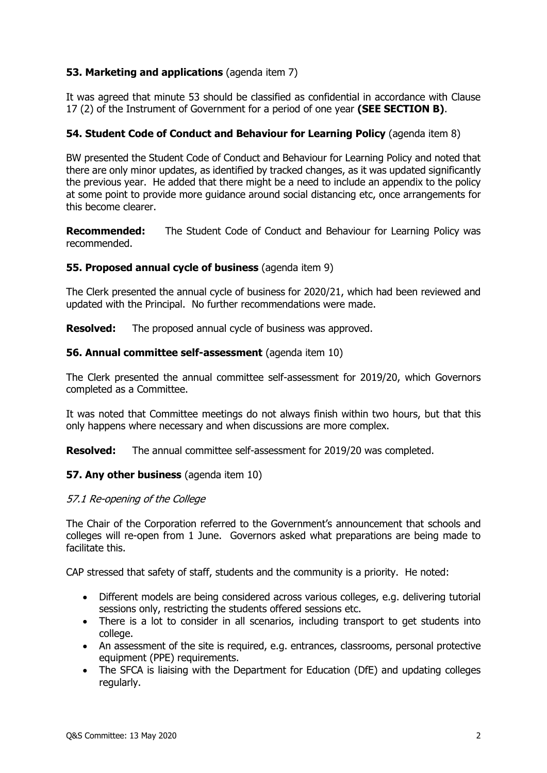## **53. Marketing and applications** (agenda item 7)

It was agreed that minute 53 should be classified as confidential in accordance with Clause 17 (2) of the Instrument of Government for a period of one year **(SEE SECTION B)**.

### **54. Student Code of Conduct and Behaviour for Learning Policy** (agenda item 8)

BW presented the Student Code of Conduct and Behaviour for Learning Policy and noted that there are only minor updates, as identified by tracked changes, as it was updated significantly the previous year. He added that there might be a need to include an appendix to the policy at some point to provide more guidance around social distancing etc, once arrangements for this become clearer.

**Recommended:** The Student Code of Conduct and Behaviour for Learning Policy was recommended.

### **55. Proposed annual cycle of business** (agenda item 9)

The Clerk presented the annual cycle of business for 2020/21, which had been reviewed and updated with the Principal. No further recommendations were made.

**Resolved:** The proposed annual cycle of business was approved.

### **56. Annual committee self-assessment** (agenda item 10)

The Clerk presented the annual committee self-assessment for 2019/20, which Governors completed as a Committee.

It was noted that Committee meetings do not always finish within two hours, but that this only happens where necessary and when discussions are more complex.

**Resolved:** The annual committee self-assessment for 2019/20 was completed.

### **57. Any other business** (agenda item 10)

### 57.1 Re-opening of the College

The Chair of the Corporation referred to the Government's announcement that schools and colleges will re-open from 1 June. Governors asked what preparations are being made to facilitate this.

CAP stressed that safety of staff, students and the community is a priority. He noted:

- Different models are being considered across various colleges, e.g. delivering tutorial sessions only, restricting the students offered sessions etc.
- There is a lot to consider in all scenarios, including transport to get students into college.
- An assessment of the site is required, e.g. entrances, classrooms, personal protective equipment (PPE) requirements.
- The SFCA is liaising with the Department for Education (DfE) and updating colleges regularly.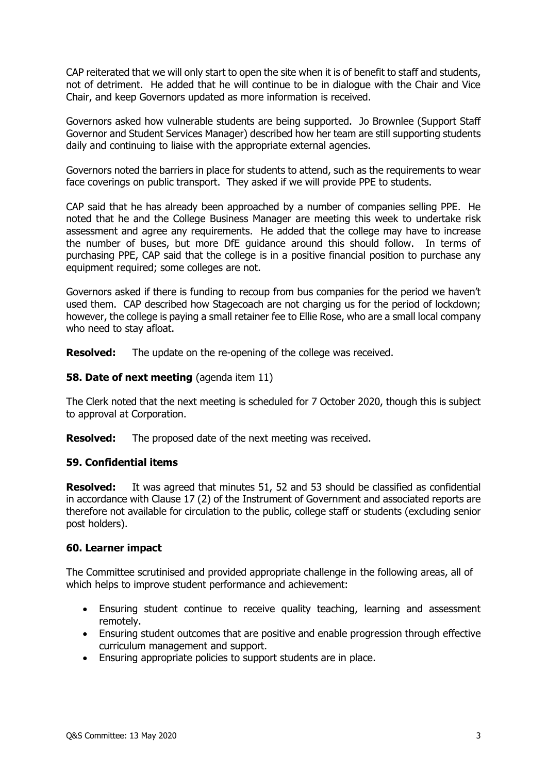CAP reiterated that we will only start to open the site when it is of benefit to staff and students, not of detriment. He added that he will continue to be in dialogue with the Chair and Vice Chair, and keep Governors updated as more information is received.

Governors asked how vulnerable students are being supported. Jo Brownlee (Support Staff Governor and Student Services Manager) described how her team are still supporting students daily and continuing to liaise with the appropriate external agencies.

Governors noted the barriers in place for students to attend, such as the requirements to wear face coverings on public transport. They asked if we will provide PPE to students.

CAP said that he has already been approached by a number of companies selling PPE. He noted that he and the College Business Manager are meeting this week to undertake risk assessment and agree any requirements. He added that the college may have to increase the number of buses, but more DfE guidance around this should follow. In terms of purchasing PPE, CAP said that the college is in a positive financial position to purchase any equipment required; some colleges are not.

Governors asked if there is funding to recoup from bus companies for the period we haven't used them. CAP described how Stagecoach are not charging us for the period of lockdown; however, the college is paying a small retainer fee to Ellie Rose, who are a small local company who need to stay afloat.

**Resolved:** The update on the re-opening of the college was received.

### **58. Date of next meeting** (agenda item 11)

The Clerk noted that the next meeting is scheduled for 7 October 2020, though this is subject to approval at Corporation.

**Resolved:** The proposed date of the next meeting was received.

### **59. Confidential items**

**Resolved:** It was agreed that minutes 51, 52 and 53 should be classified as confidential in accordance with Clause 17 (2) of the Instrument of Government and associated reports are therefore not available for circulation to the public, college staff or students (excluding senior post holders).

### **60. Learner impact**

The Committee scrutinised and provided appropriate challenge in the following areas, all of which helps to improve student performance and achievement:

- Ensuring student continue to receive quality teaching, learning and assessment remotely.
- Ensuring student outcomes that are positive and enable progression through effective curriculum management and support.
- Ensuring appropriate policies to support students are in place.